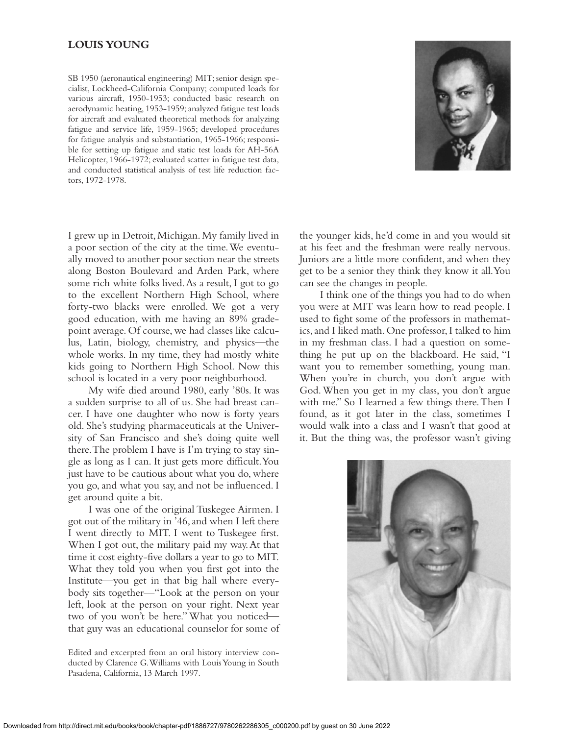# **LOUIS YOUNG**

SB 1950 (aeronautical engineering) MIT; senior design specialist, Lockheed-California Company; computed loads for various aircraft, 1950-1953; conducted basic research on aerodynamic heating, 1953-1959; analyzed fatigue test loads for aircraft and evaluated theoretical methods for analyzing fatigue and service life, 1959-1965; developed procedures for fatigue analysis and substantiation, 1965-1966; responsible for setting up fatigue and static test loads for AH-56A Helicopter, 1966-1972; evaluated scatter in fatigue test data, and conducted statistical analysis of test life reduction factors, 1972-1978.



I grew up in Detroit, Michigan. My family lived in a poor section of the city at the time.We eventually moved to another poor section near the streets along Boston Boulevard and Arden Park, where some rich white folks lived.As a result, I got to go to the excellent Northern High School, where forty-two blacks were enrolled. We got a very good education, with me having an 89% gradepoint average. Of course, we had classes like calculus, Latin, biology, chemistry, and physics—the whole works. In my time, they had mostly white kids going to Northern High School. Now this school is located in a very poor neighborhood.

My wife died around 1980, early '80s. It was a sudden surprise to all of us. She had breast cancer. I have one daughter who now is forty years old. She's studying pharmaceuticals at the University of San Francisco and she's doing quite well there.The problem I have is I'm trying to stay single as long as I can. It just gets more difficult.You just have to be cautious about what you do, where you go, and what you say, and not be influenced. I get around quite a bit.

I was one of the original Tuskegee Airmen. I got out of the military in '46,and when I left there I went directly to MIT. I went to Tuskegee first. When I got out, the military paid my way. At that time it cost eighty-five dollars a year to go to MIT. What they told you when you first got into the Institute—you get in that big hall where everybody sits together—"Look at the person on your left, look at the person on your right. Next year two of you won't be here." What you noticed that guy was an educational counselor for some of

Edited and excerpted from an oral history interview conducted by Clarence G.Williams with Louis Young in South Pasadena, California, 13 March 1997.

the younger kids, he'd come in and you would sit at his feet and the freshman were really nervous. Juniors are a little more confident, and when they get to be a senior they think they know it all.You can see the changes in people.

I think one of the things you had to do when you were at MIT was learn how to read people. I used to fight some of the professors in mathematics,and I liked math.One professor,I talked to him in my freshman class. I had a question on something he put up on the blackboard. He said, "I want you to remember something, young man. When you're in church, you don't argue with God. When you get in my class, you don't argue with me." So I learned a few things there.Then I found, as it got later in the class, sometimes I would walk into a class and I wasn't that good at it. But the thing was, the professor wasn't giving

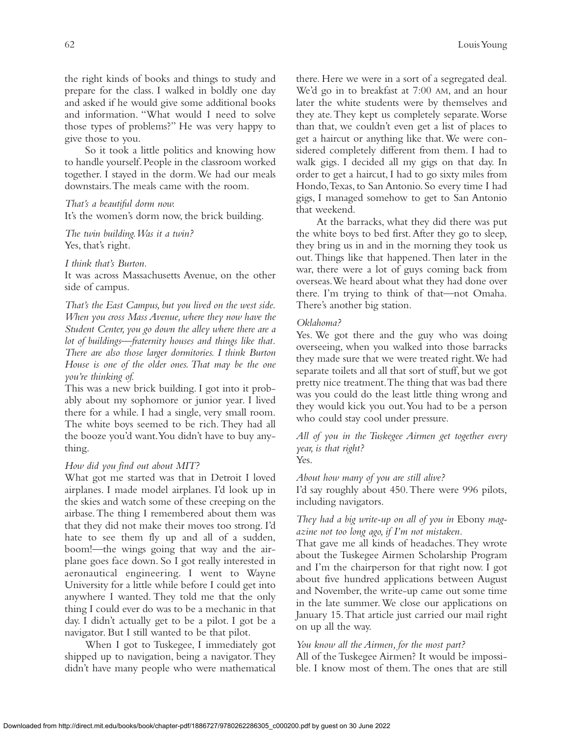the right kinds of books and things to study and prepare for the class. I walked in boldly one day and asked if he would give some additional books and information. "What would I need to solve those types of problems?" He was very happy to give those to you.

So it took a little politics and knowing how to handle yourself. People in the classroom worked together. I stayed in the dorm.We had our meals downstairs.The meals came with the room.

### *That's a beautiful dorm now.*

It's the women's dorm now, the brick building.

*The twin building.Was it a twin?* Yes, that's right.

*I think that's Burton.*

It was across Massachusetts Avenue, on the other side of campus.

*That's the East Campus, but you lived on the west side. When you cross Mass Avenue, where they now have the Student Center, you go down the alley where there are a lot of buildings—fraternity houses and things like that. There are also those larger dormitories. I think Burton House is one of the older ones. That may be the one you're thinking of.*

This was a new brick building. I got into it probably about my sophomore or junior year. I lived there for a while. I had a single, very small room. The white boys seemed to be rich. They had all the booze you'd want.You didn't have to buy anything.

## *How did you find out about MIT?*

What got me started was that in Detroit I loved airplanes. I made model airplanes. I'd look up in the skies and watch some of these creeping on the airbase.The thing I remembered about them was that they did not make their moves too strong. I'd hate to see them fly up and all of a sudden, boom!—the wings going that way and the airplane goes face down. So I got really interested in aeronautical engineering. I went to Wayne University for a little while before I could get into anywhere I wanted. They told me that the only thing I could ever do was to be a mechanic in that day. I didn't actually get to be a pilot. I got be a navigator. But I still wanted to be that pilot.

When I got to Tuskegee, I immediately got shipped up to navigation, being a navigator.They didn't have many people who were mathematical there. Here we were in a sort of a segregated deal. We'd go in to breakfast at 7:00 AM, and an hour later the white students were by themselves and they ate.They kept us completely separate.Worse than that, we couldn't even get a list of places to get a haircut or anything like that.We were considered completely different from them. I had to walk gigs. I decided all my gigs on that day. In order to get a haircut, I had to go sixty miles from Hondo,Texas, to San Antonio. So every time I had gigs, I managed somehow to get to San Antonio that weekend.

At the barracks, what they did there was put the white boys to bed first.After they go to sleep, they bring us in and in the morning they took us out. Things like that happened. Then later in the war, there were a lot of guys coming back from overseas.We heard about what they had done over there. I'm trying to think of that—not Omaha. There's another big station.

## *Oklahoma?*

Yes. We got there and the guy who was doing overseeing, when you walked into those barracks they made sure that we were treated right.We had separate toilets and all that sort of stuff, but we got pretty nice treatment.The thing that was bad there was you could do the least little thing wrong and they would kick you out.You had to be a person who could stay cool under pressure.

*All of you in the Tuskegee Airmen get together every year, is that right?* Yes.

*About how many of you are still alive?*

I'd say roughly about 450.There were 996 pilots, including navigators.

## *They had a big write-up on all of you in* Ebony *magazine not too long ago, if I'm not mistaken.*

That gave me all kinds of headaches.They wrote about the Tuskegee Airmen Scholarship Program and I'm the chairperson for that right now. I got about five hundred applications between August and November, the write-up came out some time in the late summer.We close our applications on January 15.That article just carried our mail right on up all the way.

## *You know all the Airmen, for the most part?*

All of the Tuskegee Airmen? It would be impossible. I know most of them. The ones that are still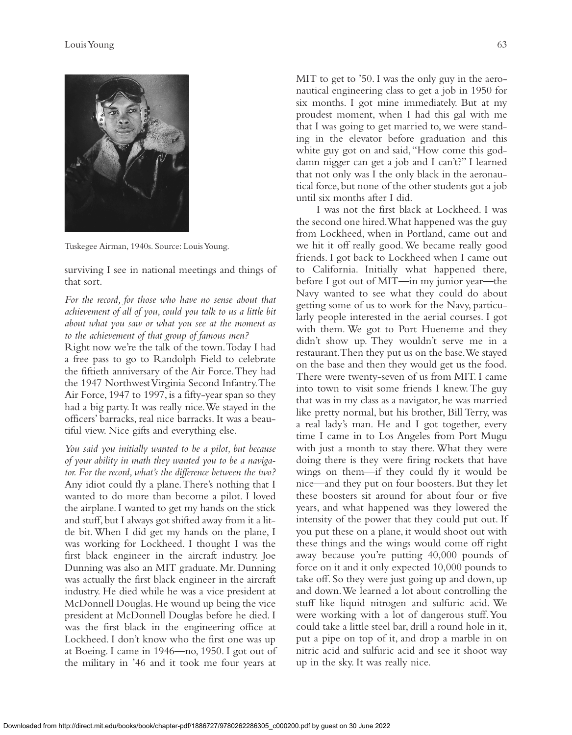

Tuskegee Airman, 1940s. Source: Louis Young.

surviving I see in national meetings and things of that sort.

*For the record, for those who have no sense about that achievement of all of you, could you talk to us a little bit about what you saw or what you see at the moment as to the achievement of that group of famous men?*

Right now we're the talk of the town.Today I had a free pass to go to Randolph Field to celebrate the fiftieth anniversary of the Air Force.They had the 1947 Northwest Virginia Second Infantry.The Air Force, 1947 to 1997, is a fifty-year span so they had a big party. It was really nice.We stayed in the officers' barracks, real nice barracks. It was a beautiful view. Nice gifts and everything else.

*You said you initially wanted to be a pilot, but because of your ability in math they wanted you to be a navigator. For the record, what's the difference between the two?* Any idiot could fly a plane.There's nothing that I wanted to do more than become a pilot. I loved the airplane. I wanted to get my hands on the stick and stuff, but I always got shifted away from it a little bit. When I did get my hands on the plane, I was working for Lockheed. I thought I was the first black engineer in the aircraft industry. Joe Dunning was also an MIT graduate. Mr. Dunning was actually the first black engineer in the aircraft industry. He died while he was a vice president at McDonnell Douglas. He wound up being the vice president at McDonnell Douglas before he died. I was the first black in the engineering office at Lockheed. I don't know who the first one was up at Boeing. I came in 1946—no, 1950. I got out of the military in '46 and it took me four years at

MIT to get to '50. I was the only guy in the aeronautical engineering class to get a job in 1950 for six months. I got mine immediately. But at my proudest moment, when I had this gal with me that I was going to get married to, we were standing in the elevator before graduation and this white guy got on and said, "How come this goddamn nigger can get a job and I can't?" I learned that not only was I the only black in the aeronautical force, but none of the other students got a job until six months after I did.

I was not the first black at Lockheed. I was the second one hired.What happened was the guy from Lockheed, when in Portland, came out and we hit it off really good.We became really good friends. I got back to Lockheed when I came out to California. Initially what happened there, before I got out of MIT—in my junior year—the Navy wanted to see what they could do about getting some of us to work for the Navy, particularly people interested in the aerial courses. I got with them. We got to Port Hueneme and they didn't show up. They wouldn't serve me in a restaurant.Then they put us on the base.We stayed on the base and then they would get us the food. There were twenty-seven of us from MIT. I came into town to visit some friends I knew. The guy that was in my class as a navigator, he was married like pretty normal, but his brother, Bill Terry, was a real lady's man. He and I got together, every time I came in to Los Angeles from Port Mugu with just a month to stay there. What they were doing there is they were firing rockets that have wings on them—if they could fly it would be nice—and they put on four boosters. But they let these boosters sit around for about four or five years, and what happened was they lowered the intensity of the power that they could put out. If you put these on a plane, it would shoot out with these things and the wings would come off right away because you're putting 40,000 pounds of force on it and it only expected 10,000 pounds to take off. So they were just going up and down, up and down.We learned a lot about controlling the stuff like liquid nitrogen and sulfuric acid. We were working with a lot of dangerous stuff.You could take a little steel bar, drill a round hole in it, put a pipe on top of it, and drop a marble in on nitric acid and sulfuric acid and see it shoot way up in the sky. It was really nice.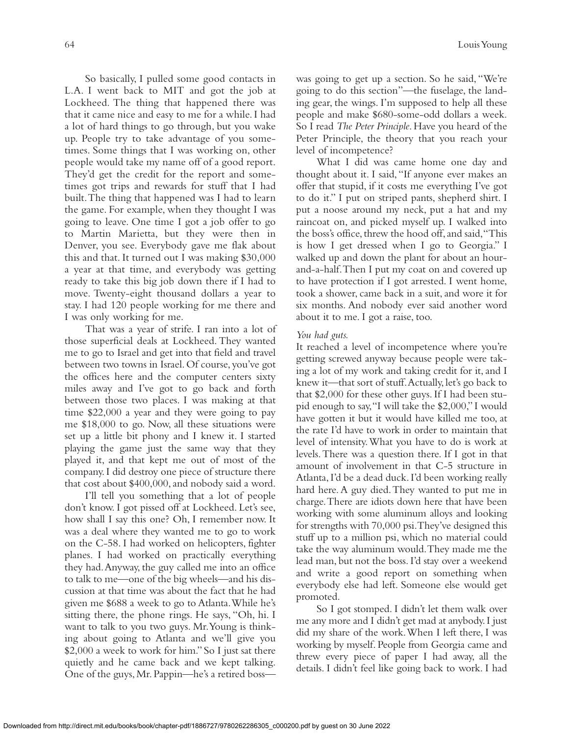So basically, I pulled some good contacts in L.A. I went back to MIT and got the job at Lockheed. The thing that happened there was that it came nice and easy to me for a while. I had a lot of hard things to go through, but you wake up. People try to take advantage of you sometimes. Some things that I was working on, other people would take my name off of a good report. They'd get the credit for the report and sometimes got trips and rewards for stuff that I had built.The thing that happened was I had to learn the game. For example, when they thought I was going to leave. One time I got a job offer to go to Martin Marietta, but they were then in Denver, you see. Everybody gave me flak about this and that. It turned out I was making \$30,000 a year at that time, and everybody was getting ready to take this big job down there if I had to move. Twenty-eight thousand dollars a year to stay. I had 120 people working for me there and I was only working for me.

That was a year of strife. I ran into a lot of those superficial deals at Lockheed. They wanted me to go to Israel and get into that field and travel between two towns in Israel. Of course, you've got the offices here and the computer centers sixty miles away and I've got to go back and forth between those two places. I was making at that time \$22,000 a year and they were going to pay me \$18,000 to go. Now, all these situations were set up a little bit phony and I knew it. I started playing the game just the same way that they played it, and that kept me out of most of the company. I did destroy one piece of structure there that cost about \$400,000, and nobody said a word.

I'll tell you something that a lot of people don't know. I got pissed off at Lockheed. Let's see, how shall I say this one? Oh, I remember now. It was a deal where they wanted me to go to work on the C-58. I had worked on helicopters, fighter planes. I had worked on practically everything they had.Anyway, the guy called me into an office to talk to me—one of the big wheels—and his discussion at that time was about the fact that he had given me \$688 a week to go to Atlanta.While he's sitting there, the phone rings. He says, "Oh, hi. I want to talk to you two guys. Mr.Young is thinking about going to Atlanta and we'll give you \$2,000 a week to work for him." So I just sat there quietly and he came back and we kept talking. One of the guys,Mr.Pappin—he's a retired bosswas going to get up a section. So he said, "We're going to do this section"—the fuselage, the landing gear, the wings. I'm supposed to help all these people and make \$680-some-odd dollars a week. So I read *The Peter Principle*. Have you heard of the Peter Principle, the theory that you reach your level of incompetence?

What I did was came home one day and thought about it. I said,"If anyone ever makes an offer that stupid, if it costs me everything I've got to do it." I put on striped pants, shepherd shirt. I put a noose around my neck, put a hat and my raincoat on, and picked myself up. I walked into the boss's office, threw the hood off, and said, "This is how I get dressed when I go to Georgia." I walked up and down the plant for about an hourand-a-half.Then I put my coat on and covered up to have protection if I got arrested. I went home, took a shower, came back in a suit, and wore it for six months. And nobody ever said another word about it to me. I got a raise, too.

## *You had guts.*

It reached a level of incompetence where you're getting screwed anyway because people were taking a lot of my work and taking credit for it, and I knew it—that sort of stuff. Actually, let's go back to that \$2,000 for these other guys. If I had been stupid enough to say,"I will take the \$2,000," I would have gotten it but it would have killed me too, at the rate I'd have to work in order to maintain that level of intensity.What you have to do is work at levels.There was a question there. If I got in that amount of involvement in that C-5 structure in Atlanta, I'd be a dead duck. I'd been working really hard here. A guy died.They wanted to put me in charge.There are idiots down here that have been working with some aluminum alloys and looking for strengths with 70,000 psi.They've designed this stuff up to a million psi, which no material could take the way aluminum would.They made me the lead man, but not the boss. I'd stay over a weekend and write a good report on something when everybody else had left. Someone else would get promoted.

So I got stomped. I didn't let them walk over me any more and I didn't get mad at anybody.I just did my share of the work.When I left there, I was working by myself. People from Georgia came and threw every piece of paper I had away, all the details. I didn't feel like going back to work. I had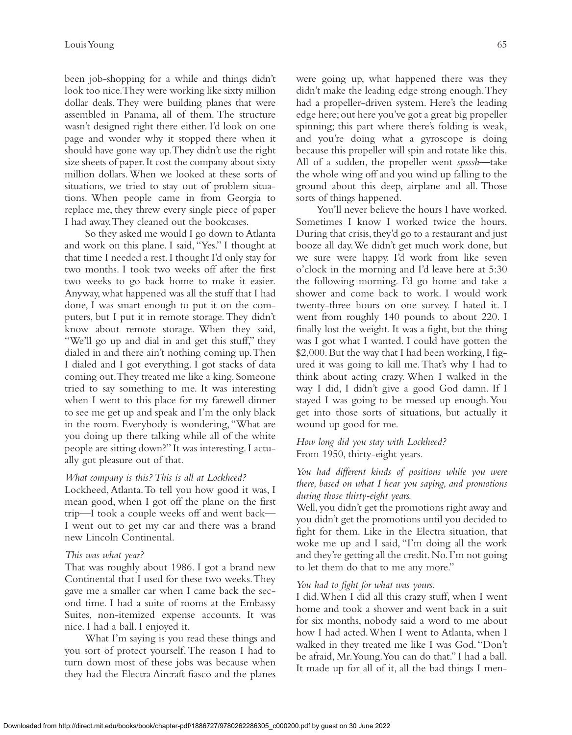been job-shopping for a while and things didn't look too nice.They were working like sixty million dollar deals. They were building planes that were assembled in Panama, all of them. The structure wasn't designed right there either. I'd look on one page and wonder why it stopped there when it should have gone way up.They didn't use the right size sheets of paper. It cost the company about sixty million dollars. When we looked at these sorts of situations, we tried to stay out of problem situations. When people came in from Georgia to replace me, they threw every single piece of paper I had away.They cleaned out the bookcases.

So they asked me would I go down to Atlanta and work on this plane. I said,"Yes." I thought at that time I needed a rest.I thought I'd only stay for two months. I took two weeks off after the first two weeks to go back home to make it easier. Anyway, what happened was all the stuff that I had done, I was smart enough to put it on the computers, but I put it in remote storage.They didn't know about remote storage. When they said, "We'll go up and dial in and get this stuff," they dialed in and there ain't nothing coming up.Then I dialed and I got everything. I got stacks of data coming out.They treated me like a king. Someone tried to say something to me. It was interesting when I went to this place for my farewell dinner to see me get up and speak and I'm the only black in the room. Everybody is wondering,"What are you doing up there talking while all of the white people are sitting down?" It was interesting. I actually got pleasure out of that.

#### *What company is this? This is all at Lockheed?*

Lockheed, Atlanta.To tell you how good it was, I mean good, when I got off the plane on the first trip—I took a couple weeks off and went back— I went out to get my car and there was a brand new Lincoln Continental.

#### *This was what year?*

That was roughly about 1986. I got a brand new Continental that I used for these two weeks.They gave me a smaller car when I came back the second time. I had a suite of rooms at the Embassy Suites, non-itemized expense accounts. It was nice. I had a ball. I enjoyed it.

What I'm saying is you read these things and you sort of protect yourself. The reason I had to turn down most of these jobs was because when they had the Electra Aircraft fiasco and the planes

were going up, what happened there was they didn't make the leading edge strong enough.They had a propeller-driven system. Here's the leading edge here;out here you've got a great big propeller spinning; this part where there's folding is weak, and you're doing what a gyroscope is doing because this propeller will spin and rotate like this. All of a sudden, the propeller went *spsssh*—take the whole wing off and you wind up falling to the ground about this deep, airplane and all. Those sorts of things happened.

You'll never believe the hours I have worked. Sometimes I know I worked twice the hours. During that crisis, they'd go to a restaurant and just booze all day.We didn't get much work done, but we sure were happy. I'd work from like seven o'clock in the morning and I'd leave here at 5:30 the following morning. I'd go home and take a shower and come back to work. I would work twenty-three hours on one survey. I hated it. I went from roughly 140 pounds to about 220. I finally lost the weight. It was a fight, but the thing was I got what I wanted. I could have gotten the \$2,000.But the way that I had been working,I figured it was going to kill me.That's why I had to think about acting crazy. When I walked in the way I did, I didn't give a good God damn. If I stayed I was going to be messed up enough.You get into those sorts of situations, but actually it wound up good for me.

## *How long did you stay with Lockheed?* From 1950, thirty-eight years.

*You had different kinds of positions while you were there, based on what I hear you saying, and promotions during those thirty-eight years.*

Well, you didn't get the promotions right away and you didn't get the promotions until you decided to fight for them. Like in the Electra situation, that woke me up and I said, "I'm doing all the work and they're getting all the credit.No.I'm not going to let them do that to me any more."

#### *You had to fight for what was yours.*

I did.When I did all this crazy stuff, when I went home and took a shower and went back in a suit for six months, nobody said a word to me about how I had acted.When I went to Atlanta, when I walked in they treated me like I was God."Don't be afraid, Mr.Young.You can do that." I had a ball. It made up for all of it, all the bad things I men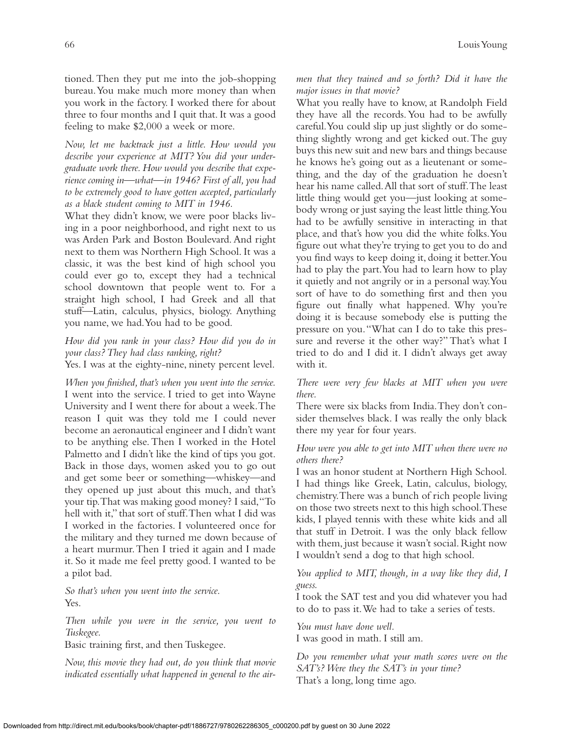tioned. Then they put me into the job-shopping bureau.You make much more money than when you work in the factory. I worked there for about three to four months and I quit that. It was a good feeling to make \$2,000 a week or more.

*Now, let me backtrack just a little. How would you describe your experience at MIT? You did your undergraduate work there. How would you describe that experience coming in—what—in 1946? First of all,you had to be extremely good to have gotten accepted, particularly as a black student coming to MIT in 1946.*

What they didn't know, we were poor blacks living in a poor neighborhood, and right next to us was Arden Park and Boston Boulevard. And right next to them was Northern High School. It was a classic, it was the best kind of high school you could ever go to, except they had a technical school downtown that people went to. For a straight high school, I had Greek and all that stuff—Latin, calculus, physics, biology. Anything you name, we had.You had to be good.

# *How did you rank in your class? How did you do in your class? They had class ranking, right?*

Yes. I was at the eighty-nine, ninety percent level.

*When you finished, that's when you went into the service.* I went into the service. I tried to get into Wayne University and I went there for about a week.The reason I quit was they told me I could never become an aeronautical engineer and I didn't want to be anything else. Then I worked in the Hotel Palmetto and I didn't like the kind of tips you got. Back in those days, women asked you to go out and get some beer or something—whiskey—and they opened up just about this much, and that's your tip.That was making good money? I said,"To hell with it," that sort of stuff.Then what I did was I worked in the factories. I volunteered once for the military and they turned me down because of a heart murmur.Then I tried it again and I made it. So it made me feel pretty good. I wanted to be a pilot bad.

*So that's when you went into the service.* Yes.

*Then while you were in the service, you went to Tuskegee.*

Basic training first, and then Tuskegee.

*Now, this movie they had out, do you think that movie indicated essentially what happened in general to the air-* *men that they trained and so forth? Did it have the major issues in that movie?*

What you really have to know, at Randolph Field they have all the records. You had to be awfully careful.You could slip up just slightly or do something slightly wrong and get kicked out.The guy buys this new suit and new bars and things because he knows he's going out as a lieutenant or something, and the day of the graduation he doesn't hear his name called.All that sort of stuff.The least little thing would get you—just looking at somebody wrong or just saying the least little thing.You had to be awfully sensitive in interacting in that place, and that's how you did the white folks.You figure out what they're trying to get you to do and you find ways to keep doing it, doing it better.You had to play the part.You had to learn how to play it quietly and not angrily or in a personal way.You sort of have to do something first and then you figure out finally what happened. Why you're doing it is because somebody else is putting the pressure on you."What can I do to take this pressure and reverse it the other way?" That's what I tried to do and I did it. I didn't always get away with it.

## *There were very few blacks at MIT when you were there.*

There were six blacks from India.They don't consider themselves black. I was really the only black there my year for four years.

## *How were you able to get into MIT when there were no others there?*

I was an honor student at Northern High School. I had things like Greek, Latin, calculus, biology, chemistry.There was a bunch of rich people living on those two streets next to this high school.These kids, I played tennis with these white kids and all that stuff in Detroit. I was the only black fellow with them, just because it wasn't social. Right now I wouldn't send a dog to that high school.

*You applied to MIT, though, in a way like they did, I guess.*

I took the SAT test and you did whatever you had to do to pass it.We had to take a series of tests.

*You must have done well.* I was good in math. I still am.

*Do you remember what your math scores were on the SAT's? Were they the SAT's in your time?* That's a long, long time ago.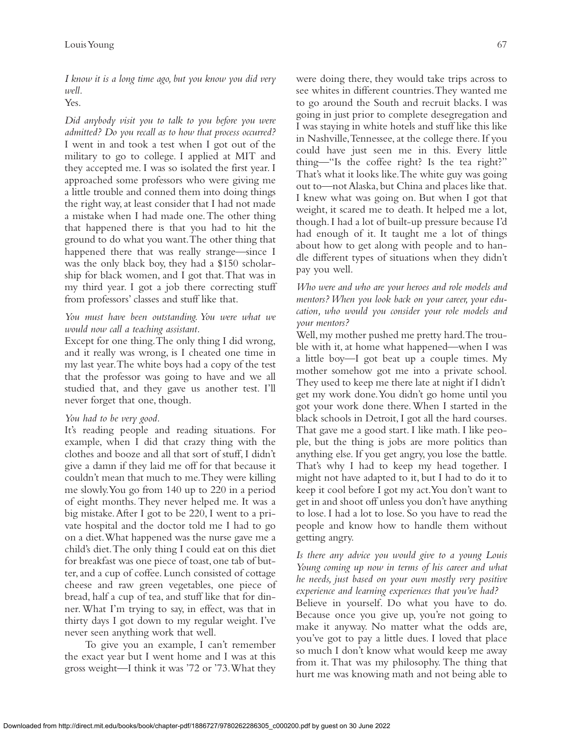*I know it is a long time ago, but you know you did very well.*

# Yes.

*Did anybody visit you to talk to you before you were admitted? Do you recall as to how that process occurred?* I went in and took a test when I got out of the military to go to college. I applied at MIT and they accepted me. I was so isolated the first year. I approached some professors who were giving me a little trouble and conned them into doing things the right way, at least consider that I had not made a mistake when I had made one.The other thing that happened there is that you had to hit the ground to do what you want.The other thing that happened there that was really strange—since I was the only black boy, they had a \$150 scholarship for black women, and I got that.That was in my third year. I got a job there correcting stuff from professors' classes and stuff like that.

## *You must have been outstanding. You were what we would now call a teaching assistant.*

Except for one thing.The only thing I did wrong, and it really was wrong, is I cheated one time in my last year.The white boys had a copy of the test that the professor was going to have and we all studied that, and they gave us another test. I'll never forget that one, though.

#### *You had to be very good.*

It's reading people and reading situations. For example, when I did that crazy thing with the clothes and booze and all that sort of stuff, I didn't give a damn if they laid me off for that because it couldn't mean that much to me.They were killing me slowly.You go from 140 up to 220 in a period of eight months. They never helped me. It was a big mistake.After I got to be 220, I went to a private hospital and the doctor told me I had to go on a diet.What happened was the nurse gave me a child's diet.The only thing I could eat on this diet for breakfast was one piece of toast,one tab of butter, and a cup of coffee. Lunch consisted of cottage cheese and raw green vegetables, one piece of bread, half a cup of tea, and stuff like that for dinner. What I'm trying to say, in effect, was that in thirty days I got down to my regular weight. I've never seen anything work that well.

To give you an example, I can't remember the exact year but I went home and I was at this gross weight—I think it was '72 or '73.What they

were doing there, they would take trips across to see whites in different countries.They wanted me to go around the South and recruit blacks. I was going in just prior to complete desegregation and I was staying in white hotels and stuff like this like in Nashville,Tennessee, at the college there. If you could have just seen me in this. Every little thing—"Is the coffee right? Is the tea right?" That's what it looks like.The white guy was going out to—not Alaska, but China and places like that. I knew what was going on. But when I got that weight, it scared me to death. It helped me a lot, though. I had a lot of built-up pressure because I'd had enough of it. It taught me a lot of things about how to get along with people and to handle different types of situations when they didn't pay you well.

*Who were and who are your heroes and role models and mentors? When you look back on your career, your education, who would you consider your role models and your mentors?*

Well,my mother pushed me pretty hard.The trouble with it, at home what happened—when I was a little boy—I got beat up a couple times. My mother somehow got me into a private school. They used to keep me there late at night if I didn't get my work done.You didn't go home until you got your work done there.When I started in the black schools in Detroit, I got all the hard courses. That gave me a good start. I like math. I like people, but the thing is jobs are more politics than anything else. If you get angry, you lose the battle. That's why I had to keep my head together. I might not have adapted to it, but I had to do it to keep it cool before I got my act.You don't want to get in and shoot off unless you don't have anything to lose. I had a lot to lose. So you have to read the people and know how to handle them without getting angry.

*Is there any advice you would give to a young Louis Young coming up now in terms of his career and what he needs, just based on your own mostly very positive experience and learning experiences that you've had?* Believe in yourself. Do what you have to do. Because once you give up, you're not going to make it anyway. No matter what the odds are, you've got to pay a little dues. I loved that place so much I don't know what would keep me away from it. That was my philosophy. The thing that hurt me was knowing math and not being able to